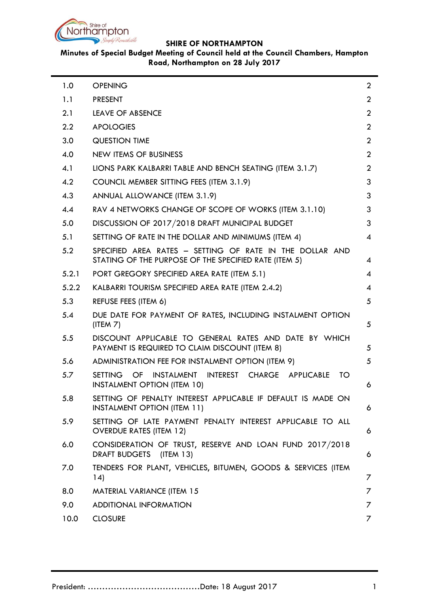

# **Minutes of Special Budget Meeting of Council held at the Council Chambers, Hampton Road, Northampton on 28 July 2017**

| 1.0   | <b>OPENING</b>                                                                                                    | $\overline{2}$ |
|-------|-------------------------------------------------------------------------------------------------------------------|----------------|
| 1.1   | <b>PRESENT</b>                                                                                                    | $\overline{2}$ |
| 2.1   | <b>LEAVE OF ABSENCE</b>                                                                                           | $\overline{2}$ |
| 2.2   | <b>APOLOGIES</b>                                                                                                  | $\overline{2}$ |
| 3.0   | <b>QUESTION TIME</b>                                                                                              | $\overline{2}$ |
| 4.0   | <b>NEW ITEMS OF BUSINESS</b>                                                                                      | $\overline{2}$ |
| 4.1   | LIONS PARK KALBARRI TABLE AND BENCH SEATING (ITEM 3.1.7)                                                          | $\overline{2}$ |
| 4.2   | COUNCIL MEMBER SITTING FEES (ITEM 3.1.9)                                                                          | 3              |
| 4.3   | ANNUAL ALLOWANCE (ITEM 3.1.9)                                                                                     | 3              |
| 4.4   | RAV 4 NETWORKS CHANGE OF SCOPE OF WORKS (ITEM 3.1.10)                                                             | 3              |
| 5.0   | DISCUSSION OF 2017/2018 DRAFT MUNICIPAL BUDGET                                                                    | 3              |
| 5.1   | SETTING OF RATE IN THE DOLLAR AND MINIMUMS (ITEM 4)                                                               | 4              |
| 5.2   | SPECIFIED AREA RATES - SETTING OF RATE IN THE DOLLAR AND<br>STATING OF THE PURPOSE OF THE SPECIFIED RATE (ITEM 5) | 4              |
| 5.2.1 | PORT GREGORY SPECIFIED AREA RATE (ITEM 5.1)                                                                       | 4              |
| 5.2.2 | KALBARRI TOURISM SPECIFIED AREA RATE (ITEM 2.4.2)                                                                 | 4              |
| 5.3   | REFUSE FEES (ITEM 6)                                                                                              | 5              |
| 5.4   | DUE DATE FOR PAYMENT OF RATES, INCLUDING INSTALMENT OPTION<br>(ITER 7)                                            | 5              |
| 5.5   | DISCOUNT APPLICABLE TO GENERAL RATES AND DATE BY WHICH<br>PAYMENT IS REQUIRED TO CLAIM DISCOUNT (ITEM 8)          | 5              |
| 5.6   | ADMINISTRATION FEE FOR INSTALMENT OPTION (ITEM 9)                                                                 | 5              |
| 5.7   | SETTING OF<br>INSTALMENT INTEREST CHARGE APPLICABLE<br>TO<br><b>INSTALMENT OPTION (ITEM 10)</b>                   | 6              |
| 5.8   | SETTING OF PENALTY INTEREST APPLICABLE IF DEFAULT IS MADE ON<br><b>INSTALMENT OPTION (ITEM 11)</b>                | 6              |
| 5.9   | SETTING OF LATE PAYMENT PENALTY INTEREST APPLICABLE TO ALL<br><b>OVERDUE RATES (ITEM 12)</b>                      | 6              |
| 6.0   | CONSIDERATION OF TRUST, RESERVE AND LOAN FUND 2017/2018<br>DRAFT BUDGETS<br>(ITERM 13)                            | 6              |
| 7.0   | TENDERS FOR PLANT, VEHICLES, BITUMEN, GOODS & SERVICES (ITEM<br>14)                                               | 7              |
| 8.0   | <b>MATERIAL VARIANCE (ITEM 15</b>                                                                                 | 7              |
| 9.0   | <b>ADDITIONAL INFORMATION</b>                                                                                     | 7              |
| 10.0  | <b>CLOSURE</b>                                                                                                    | 7              |
|       |                                                                                                                   |                |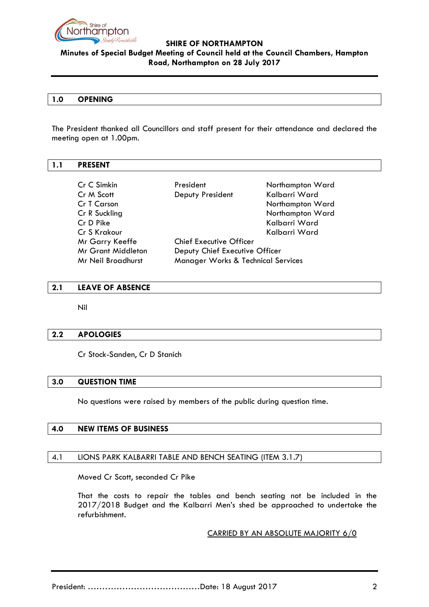

# **Minutes of Special Budget Meeting of Council held at the Council Chambers, Hampton Road, Northampton on 28 July 2017**

#### <span id="page-1-0"></span>**1.0 OPENING**

The President thanked all Councillors and staff present for their attendance and declared the meeting open at 1.00pm.

# <span id="page-1-1"></span>**1.1 PRESENT**

| Cr C Simkin               | President                          | Northampton Ward |  |
|---------------------------|------------------------------------|------------------|--|
| Cr M Scott                | Deputy President                   | Kalbarri Ward    |  |
| Cr T Carson               |                                    | Northampton Ward |  |
| Cr R Suckling             |                                    | Northampton Ward |  |
| Cr D Pike                 |                                    | Kalbarri Ward    |  |
| Cr S Krakour              |                                    | Kalbarri Ward    |  |
| Mr Garry Keeffe           | <b>Chief Executive Officer</b>     |                  |  |
| <b>Mr Grant Middleton</b> | Deputy Chief Executive Officer     |                  |  |
| Mr Neil Broadhurst        | Manager Works & Technical Services |                  |  |

### <span id="page-1-2"></span>**2.1 LEAVE OF ABSENCE**

Nil

### <span id="page-1-3"></span>**2.2 APOLOGIES**

Cr Stock-Sanden, Cr D Stanich

### <span id="page-1-4"></span>**3.0 QUESTION TIME**

No questions were raised by members of the public during question time.

### <span id="page-1-5"></span>**4.0 NEW ITEMS OF BUSINESS**

# <span id="page-1-6"></span>4.1 LIONS PARK KALBARRI TABLE AND BENCH SEATING (ITEM 3.1.7)

Moved Cr Scott, seconded Cr Pike

That the costs to repair the tables and bench seating not be included in the 2017/2018 Budget and the Kalbarri Men's shed be approached to undertake the refurbishment.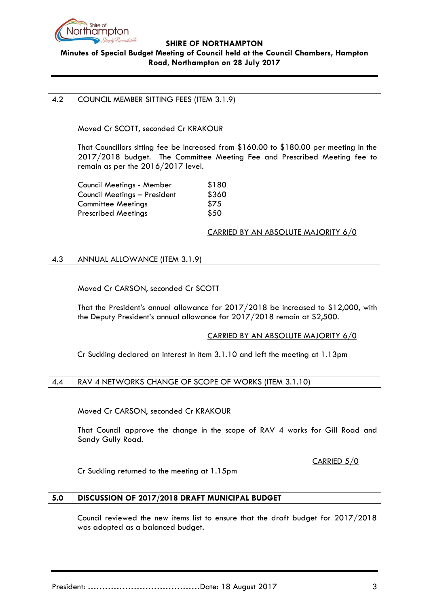

# **Minutes of Special Budget Meeting of Council held at the Council Chambers, Hampton Road, Northampton on 28 July 2017**

#### <span id="page-2-0"></span>4.2 COUNCIL MEMBER SITTING FEES (ITEM 3.1.9)

Moved Cr SCOTT, seconded Cr KRAKOUR

That Councillors sitting fee be increased from \$160.00 to \$180.00 per meeting in the 2017/2018 budget. The Committee Meeting Fee and Prescribed Meeting fee to remain as per the 2016/2017 level.

| Council Meetings - Member    | \$180 |
|------------------------------|-------|
| Council Meetings - President | \$360 |
| <b>Committee Meetings</b>    | \$75  |
| <b>Prescribed Meetings</b>   | \$50  |

### CARRIED BY AN ABSOLUTE MAJORITY 6/0

### <span id="page-2-1"></span>4.3 ANNUAL ALLOWANCE (ITEM 3.1.9)

Moved Cr CARSON, seconded Cr SCOTT

That the President's annual allowance for 2017/2018 be increased to \$12,000, with the Deputy President's annual allowance for 2017/2018 remain at \$2,500.

### CARRIED BY AN ABSOLUTE MAJORITY 6/0

Cr Suckling declared an interest in item 3.1.10 and left the meeting at 1.13pm

### <span id="page-2-2"></span>4.4 RAV 4 NETWORKS CHANGE OF SCOPE OF WORKS (ITEM 3.1.10)

Moved Cr CARSON, seconded Cr KRAKOUR

That Council approve the change in the scope of RAV 4 works for Gill Road and Sandy Gully Road.

CARRIED 5/0

Cr Suckling returned to the meeting at 1.15pm .

### <span id="page-2-3"></span>**5.0 DISCUSSION OF 2017/2018 DRAFT MUNICIPAL BUDGET**

Council reviewed the new items list to ensure that the draft budget for 2017/2018 was adopted as a balanced budget.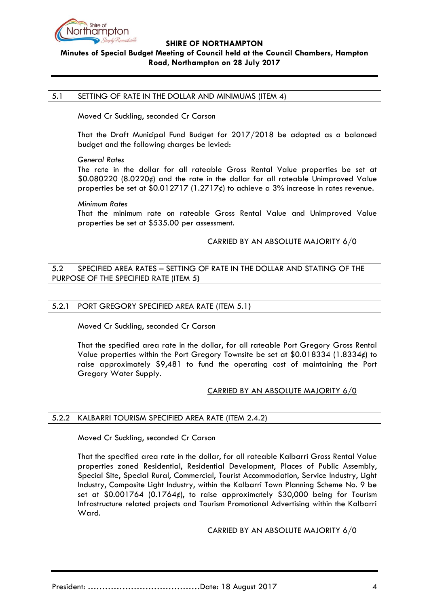

# **Minutes of Special Budget Meeting of Council held at the Council Chambers, Hampton Road, Northampton on 28 July 2017**

#### <span id="page-3-0"></span>5.1 SETTING OF RATE IN THE DOLLAR AND MINIMUMS (ITEM 4)

Moved Cr Suckling, seconded Cr Carson

That the Draft Municipal Fund Budget for 2017/2018 be adopted as a balanced budget and the following charges be levied:

*General Rates*

The rate in the dollar for all rateable Gross Rental Value properties be set at \$0.080220 (8.0220¢) and the rate in the dollar for all rateable Unimproved Value properties be set at  $$0.012717 (1.2717¢)$  to achieve a 3% increase in rates revenue.

#### *Minimum Rates*

That the minimum rate on rateable Gross Rental Value and Unimproved Value properties be set at \$535.00 per assessment.

### CARRIED BY AN ABSOLUTE MAJORITY 6/0

### <span id="page-3-1"></span>5.2 SPECIFIED AREA RATES – SETTING OF RATE IN THE DOLLAR AND STATING OF THE PURPOSE OF THE SPECIFIED RATE (ITEM 5**)**

### <span id="page-3-2"></span>5.2.1 PORT GREGORY SPECIFIED AREA RATE (ITEM 5.1**)**

Moved Cr Suckling, seconded Cr Carson

That the specified area rate in the dollar, for all rateable Port Gregory Gross Rental Value properties within the Port Gregory Townsite be set at  $$0.018334 (1.8334)$  to raise approximately \$9,481 to fund the operating cost of maintaining the Port Gregory Water Supply.

## CARRIED BY AN ABSOLUTE MAJORITY 6/0

## <span id="page-3-3"></span>5.2.2 KALBARRI TOURISM SPECIFIED AREA RATE (ITEM 2.4.2)

Moved Cr Suckling, seconded Cr Carson

That the specified area rate in the dollar, for all rateable Kalbarri Gross Rental Value properties zoned Residential, Residential Development, Places of Public Assembly, Special Site, Special Rural, Commercial, Tourist Accommodation, Service Industry, Light Industry, Composite Light Industry, within the Kalbarri Town Planning Scheme No. 9 be set at  $$0.001764$  (0.1764 $\epsilon$ ), to raise approximately \$30,000 being for Tourism Infrastructure related projects and Tourism Promotional Advertising within the Kalbarri Ward.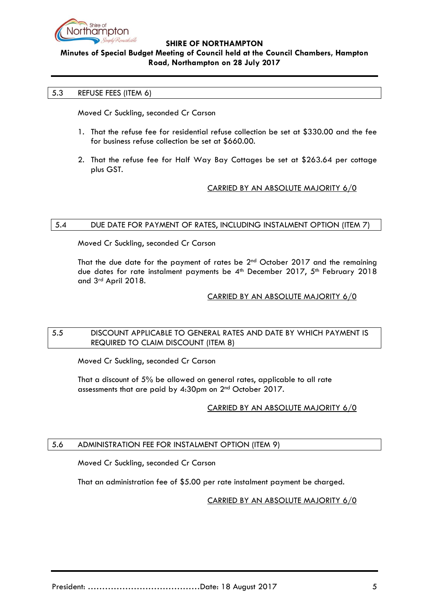

# **Minutes of Special Budget Meeting of Council held at the Council Chambers, Hampton Road, Northampton on 28 July 2017**

## <span id="page-4-0"></span>5.3 REFUSE FEES (ITEM 6)

Moved Cr Suckling, seconded Cr Carson

- 1. That the refuse fee for residential refuse collection be set at \$330.00 and the fee for business refuse collection be set at \$660.00.
- 2. That the refuse fee for Half Way Bay Cottages be set at \$263.64 per cottage plus GST.

## CARRIED BY AN ABSOLUTE MAJORITY 6/0

### <span id="page-4-1"></span>5.4 DUE DATE FOR PAYMENT OF RATES, INCLUDING INSTALMENT OPTION (ITEM 7)

Moved Cr Suckling, seconded Cr Carson

That the due date for the payment of rates be 2<sup>nd</sup> October 2017 and the remaining due dates for rate instalment payments be 4<sup>th</sup> December 2017, 5<sup>th</sup> February 2018 and 3rd April 2018.

### CARRIED BY AN ABSOLUTE MAJORITY 6/0

## <span id="page-4-2"></span>5.5 DISCOUNT APPLICABLE TO GENERAL RATES AND DATE BY WHICH PAYMENT IS REQUIRED TO CLAIM DISCOUNT (ITEM 8)

Moved Cr Suckling, seconded Cr Carson

That a discount of 5% be allowed on general rates, applicable to all rate assessments that are paid by 4:30pm on 2nd October 2017.

## CARRIED BY AN ABSOLUTE MAJORITY 6/0

## <span id="page-4-3"></span>5.6 ADMINISTRATION FEE FOR INSTALMENT OPTION (ITEM 9)

Moved Cr Suckling, seconded Cr Carson

That an administration fee of \$5.00 per rate instalment payment be charged.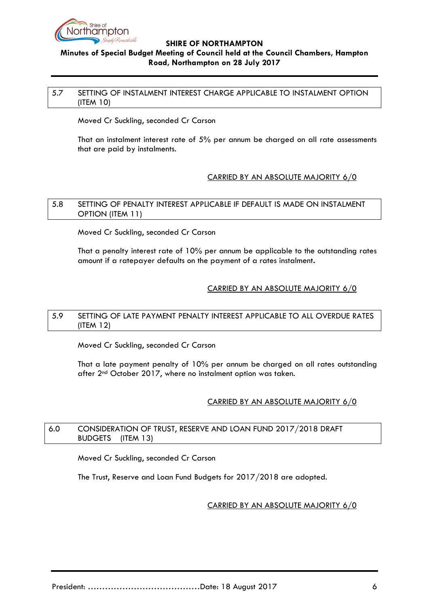

# **Minutes of Special Budget Meeting of Council held at the Council Chambers, Hampton Road, Northampton on 28 July 2017**

### <span id="page-5-0"></span>5.7 SETTING OF INSTALMENT INTEREST CHARGE APPLICABLE TO INSTALMENT OPTION (ITEM 10)

Moved Cr Suckling, seconded Cr Carson

That an instalment interest rate of 5% per annum be charged on all rate assessments that are paid by instalments.

## CARRIED BY AN ABSOLUTE MAJORITY 6/0

### <span id="page-5-1"></span>5.8 SETTING OF PENALTY INTEREST APPLICABLE IF DEFAULT IS MADE ON INSTALMENT OPTION (ITEM 11)

Moved Cr Suckling, seconded Cr Carson

That a penalty interest rate of 10% per annum be applicable to the outstanding rates amount if a ratepayer defaults on the payment of a rates instalment**.**

# CARRIED BY AN ABSOLUTE MAJORITY 6/0

## <span id="page-5-2"></span>5.9 SETTING OF LATE PAYMENT PENALTY INTEREST APPLICABLE TO ALL OVERDUE RATES (ITEM 12)

Moved Cr Suckling, seconded Cr Carson

That a late payment penalty of 10% per annum be charged on all rates outstanding after 2<sup>nd</sup> October 2017, where no instalment option was taken.

## CARRIED BY AN ABSOLUTE MAJORITY 6/0

## <span id="page-5-3"></span>6.0 CONSIDERATION OF TRUST, RESERVE AND LOAN FUND 2017/2018 DRAFT BUDGETS(ITEM 13)

Moved Cr Suckling, seconded Cr Carson

The Trust, Reserve and Loan Fund Budgets for 2017/2018 are adopted.